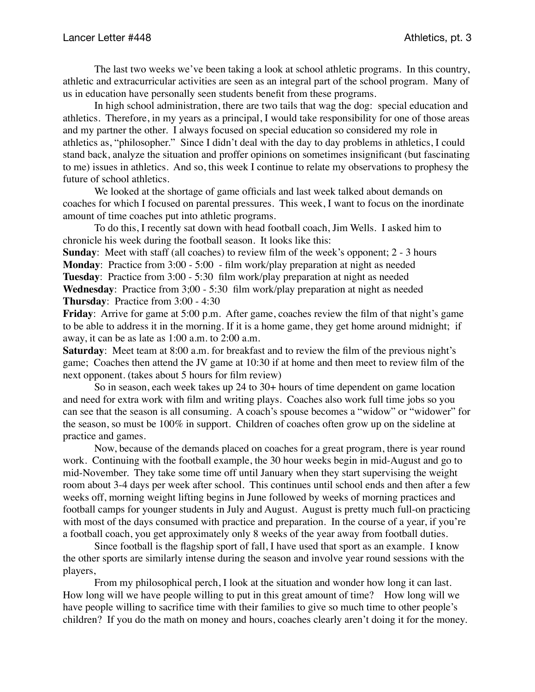The last two weeks we've been taking a look at school athletic programs. In this country, athletic and extracurricular activities are seen as an integral part of the school program. Many of us in education have personally seen students benefit from these programs.

In high school administration, there are two tails that wag the dog: special education and athletics. Therefore, in my years as a principal, I would take responsibility for one of those areas and my partner the other. I always focused on special education so considered my role in athletics as, "philosopher." Since I didn't deal with the day to day problems in athletics, I could stand back, analyze the situation and proffer opinions on sometimes insignificant (but fascinating to me) issues in athletics. And so, this week I continue to relate my observations to prophesy the future of school athletics.

We looked at the shortage of game officials and last week talked about demands on coaches for which I focused on parental pressures. This week, I want to focus on the inordinate amount of time coaches put into athletic programs.

To do this, I recently sat down with head football coach, Jim Wells. I asked him to chronicle his week during the football season. It looks like this:

**Sunday:** Meet with staff (all coaches) to review film of the week's opponent; 2 - 3 hours **Monday**: Practice from 3:00 - 5:00 - film work/play preparation at night as needed **Tuesday**: Practice from 3:00 - 5:30 film work/play preparation at night as needed **Wednesday**: Practice from 3;00 - 5:30 film work/play preparation at night as needed **Thursday**: Practice from 3:00 - 4:30

**Friday**: Arrive for game at 5:00 p.m. After game, coaches review the film of that night's game to be able to address it in the morning. If it is a home game, they get home around midnight; if away, it can be as late as 1:00 a.m. to 2:00 a.m.

**Saturday**: Meet team at 8:00 a.m. for breakfast and to review the film of the previous night's game; Coaches then attend the JV game at 10:30 if at home and then meet to review film of the next opponent. (takes about 5 hours for film review)

So in season, each week takes up 24 to 30+ hours of time dependent on game location and need for extra work with film and writing plays. Coaches also work full time jobs so you can see that the season is all consuming. A coach's spouse becomes a "widow" or "widower" for the season, so must be 100% in support. Children of coaches often grow up on the sideline at practice and games.

Now, because of the demands placed on coaches for a great program, there is year round work. Continuing with the football example, the 30 hour weeks begin in mid-August and go to mid-November. They take some time off until January when they start supervising the weight room about 3-4 days per week after school. This continues until school ends and then after a few weeks off, morning weight lifting begins in June followed by weeks of morning practices and football camps for younger students in July and August. August is pretty much full-on practicing with most of the days consumed with practice and preparation. In the course of a year, if you're a football coach, you get approximately only 8 weeks of the year away from football duties.

Since football is the flagship sport of fall, I have used that sport as an example. I know the other sports are similarly intense during the season and involve year round sessions with the players,

From my philosophical perch, I look at the situation and wonder how long it can last. How long will we have people willing to put in this great amount of time? How long will we have people willing to sacrifice time with their families to give so much time to other people's children? If you do the math on money and hours, coaches clearly aren't doing it for the money.